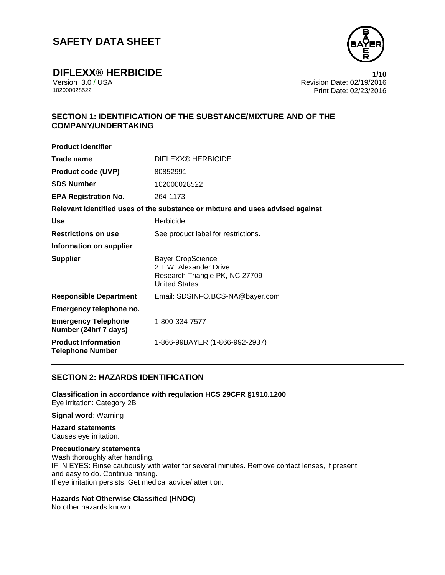

**DIFLEXX® HERBICIDE**<br>Version 3.0 / USA **1/10**<br>Revision Date: 02/19/2016 Version 3.0 / USA Revision Date: 02/19/2016 Print Date: 02/23/2016

## **SECTION 1: IDENTIFICATION OF THE SUBSTANCE/MIXTURE AND OF THE COMPANY/UNDERTAKING**

| <b>Product identifier</b>                             |                                                                                                              |
|-------------------------------------------------------|--------------------------------------------------------------------------------------------------------------|
| Trade name                                            | DIFLEXX® HERBICIDE                                                                                           |
| <b>Product code (UVP)</b>                             | 80852991                                                                                                     |
| <b>SDS Number</b>                                     | 102000028522                                                                                                 |
| <b>EPA Registration No.</b>                           | 264-1173                                                                                                     |
|                                                       | Relevant identified uses of the substance or mixture and uses advised against                                |
| Use                                                   | Herbicide                                                                                                    |
| <b>Restrictions on use</b>                            | See product label for restrictions.                                                                          |
| Information on supplier                               |                                                                                                              |
| <b>Supplier</b>                                       | <b>Bayer CropScience</b><br>2 T.W. Alexander Drive<br>Research Triangle PK, NC 27709<br><b>United States</b> |
| <b>Responsible Department</b>                         | Email: SDSINFO.BCS-NA@bayer.com                                                                              |
| Emergency telephone no.                               |                                                                                                              |
| <b>Emergency Telephone</b><br>Number (24hr/ 7 days)   | 1-800-334-7577                                                                                               |
| <b>Product Information</b><br><b>Telephone Number</b> | 1-866-99BAYER (1-866-992-2937)                                                                               |

## **SECTION 2: HAZARDS IDENTIFICATION**

**Classification in accordance with regulation HCS 29CFR §1910.1200** Eye irritation: Category 2B

**Signal word**: Warning

#### **Hazard statements** Causes eye irritation.

**Precautionary statements** Wash thoroughly after handling. IF IN EYES: Rinse cautiously with water for several minutes. Remove contact lenses, if present and easy to do. Continue rinsing. If eye irritation persists: Get medical advice/ attention.

## **Hazards Not Otherwise Classified (HNOC)**

No other hazards known.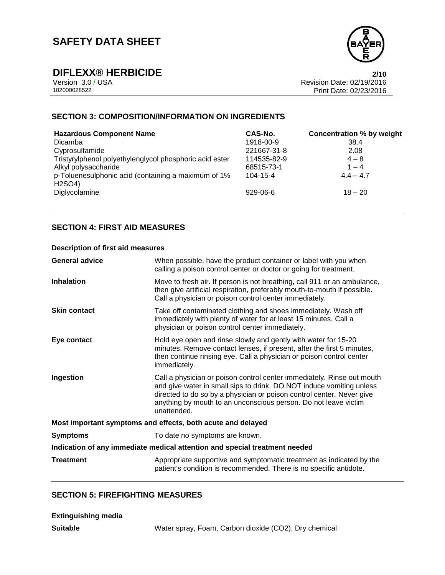

**DIFLEXX® HERBICIDE**<br>Version 3.0 / USA **2/10**<br>Revision Date: 02/19/2016 Version 3.0 / USA Revision Date: 02/19/2016 Print Date: 02/23/2016

## **SECTION 3: COMPOSITION/INFORMATION ON INGREDIENTS**

| <b>Hazardous Component Name</b>                                                         | CAS-No.     | <b>Concentration % by weight</b> |
|-----------------------------------------------------------------------------------------|-------------|----------------------------------|
| <b>Dicamba</b>                                                                          | 1918-00-9   | 38.4                             |
| Cyprosulfamide                                                                          | 221667-31-8 | 2.08                             |
| Tristyrylphenol polyethylenglycol phosphoric acid ester                                 | 114535-82-9 | $4 - 8$                          |
| Alkyl polysaccharide                                                                    | 68515-73-1  | $1 - 4$                          |
| p-Toluenesulphonic acid (containing a maximum of 1%<br>H <sub>2</sub> SO <sub>4</sub> ) | 104-15-4    | $4.4 - 4.7$                      |
| Diglycolamine                                                                           | $929-06-6$  | $18 - 20$                        |

## **SECTION 4: FIRST AID MEASURES**

## **Description of first aid measures**

| <b>General advice</b>                                                      | When possible, have the product container or label with you when<br>calling a poison control center or doctor or going for treatment.                                                                                                                                                                     |  |
|----------------------------------------------------------------------------|-----------------------------------------------------------------------------------------------------------------------------------------------------------------------------------------------------------------------------------------------------------------------------------------------------------|--|
| Inhalation                                                                 | Move to fresh air. If person is not breathing, call 911 or an ambulance,<br>then give artificial respiration, preferably mouth-to-mouth if possible.<br>Call a physician or poison control center immediately.                                                                                            |  |
| <b>Skin contact</b>                                                        | Take off contaminated clothing and shoes immediately. Wash off<br>immediately with plenty of water for at least 15 minutes. Call a<br>physician or poison control center immediately.                                                                                                                     |  |
| Eye contact                                                                | Hold eye open and rinse slowly and gently with water for 15-20<br>minutes. Remove contact lenses, if present, after the first 5 minutes,<br>then continue rinsing eye. Call a physician or poison control center<br>immediately.                                                                          |  |
| Ingestion                                                                  | Call a physician or poison control center immediately. Rinse out mouth<br>and give water in small sips to drink. DO NOT induce vomiting unless<br>directed to do so by a physician or poison control center. Never give<br>anything by mouth to an unconscious person. Do not leave victim<br>unattended. |  |
| Most important symptoms and effects, both acute and delayed                |                                                                                                                                                                                                                                                                                                           |  |
| <b>Symptoms</b>                                                            | To date no symptoms are known.                                                                                                                                                                                                                                                                            |  |
| Indication of any immediate medical attention and special treatment needed |                                                                                                                                                                                                                                                                                                           |  |
| <b>Treatment</b>                                                           | Appropriate supportive and symptomatic treatment as indicated by the<br>patient's condition is recommended. There is no specific antidote.                                                                                                                                                                |  |

## **SECTION 5: FIREFIGHTING MEASURES**

| <b>Extinguishing media</b> |                                                       |
|----------------------------|-------------------------------------------------------|
| Suitable                   | Water spray, Foam, Carbon dioxide (CO2), Dry chemical |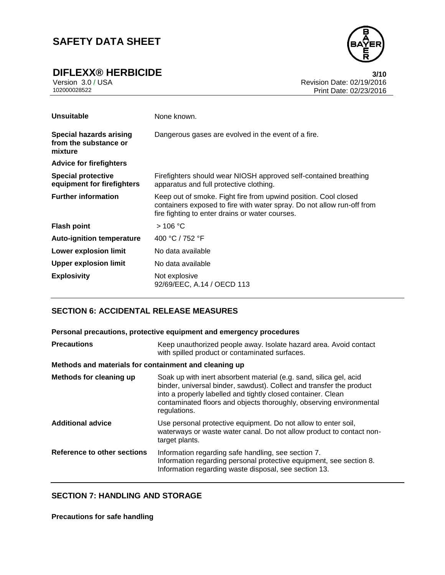**DIFLEXX® HERBICIDE**<br>Version 3.0/USA **100**<br>Revision Date: 02/19/2016



Version 3.0 / USA Revision Date: 02/19/2016 Print Date: 02/23/2016

| <b>Unsuitable</b>                                                  | None known.                                                                                                                                                                                  |
|--------------------------------------------------------------------|----------------------------------------------------------------------------------------------------------------------------------------------------------------------------------------------|
| <b>Special hazards arising</b><br>from the substance or<br>mixture | Dangerous gases are evolved in the event of a fire.                                                                                                                                          |
| <b>Advice for firefighters</b>                                     |                                                                                                                                                                                              |
| <b>Special protective</b><br>equipment for firefighters            | Firefighters should wear NIOSH approved self-contained breathing<br>apparatus and full protective clothing.                                                                                  |
| <b>Further information</b>                                         | Keep out of smoke. Fight fire from upwind position. Cool closed<br>containers exposed to fire with water spray. Do not allow run-off from<br>fire fighting to enter drains or water courses. |
| <b>Flash point</b>                                                 | $>$ 106 °C                                                                                                                                                                                   |
| <b>Auto-ignition temperature</b>                                   | 400 °C / 752 °F                                                                                                                                                                              |
| Lower explosion limit                                              | No data available                                                                                                                                                                            |
| <b>Upper explosion limit</b>                                       | No data available                                                                                                                                                                            |
| <b>Explosivity</b>                                                 | Not explosive<br>92/69/EEC, A.14 / OECD 113                                                                                                                                                  |

## **SECTION 6: ACCIDENTAL RELEASE MEASURES**

| Personal precautions, protective equipment and emergency procedures |                                                                                                                                                                                                                                                                                                   |  |
|---------------------------------------------------------------------|---------------------------------------------------------------------------------------------------------------------------------------------------------------------------------------------------------------------------------------------------------------------------------------------------|--|
| <b>Precautions</b>                                                  | Keep unauthorized people away. Isolate hazard area. Avoid contact<br>with spilled product or contaminated surfaces.                                                                                                                                                                               |  |
| Methods and materials for containment and cleaning up               |                                                                                                                                                                                                                                                                                                   |  |
| <b>Methods for cleaning up</b>                                      | Soak up with inert absorbent material (e.g. sand, silica gel, acid<br>binder, universal binder, sawdust). Collect and transfer the product<br>into a properly labelled and tightly closed container. Clean<br>contaminated floors and objects thoroughly, observing environmental<br>regulations. |  |
| <b>Additional advice</b>                                            | Use personal protective equipment. Do not allow to enter soil,<br>waterways or waste water canal. Do not allow product to contact non-<br>target plants.                                                                                                                                          |  |
| Reference to other sections                                         | Information regarding safe handling, see section 7.<br>Information regarding personal protective equipment, see section 8.<br>Information regarding waste disposal, see section 13.                                                                                                               |  |

## **SECTION 7: HANDLING AND STORAGE**

**Precautions for safe handling**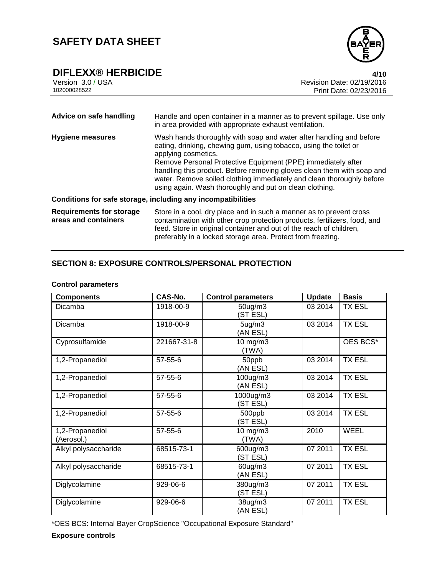

**DIFLEXX® HERBICIDE**<br>Version 3.0/USA **4/10**<br>Revision Date: 02/19/2016 Version 3.0 / USA **Revision Date: 02/19/2016**<br>102000028522 Print Date: 02/23/2016 Print Date: 02/23/2016

| Advice on safe handling                                 | Handle and open container in a manner as to prevent spillage. Use only<br>in area provided with appropriate exhaust ventilation.                                                                                                                                                                                                                                                                                                              |
|---------------------------------------------------------|-----------------------------------------------------------------------------------------------------------------------------------------------------------------------------------------------------------------------------------------------------------------------------------------------------------------------------------------------------------------------------------------------------------------------------------------------|
| <b>Hygiene measures</b>                                 | Wash hands thoroughly with soap and water after handling and before<br>eating, drinking, chewing gum, using tobacco, using the toilet or<br>applying cosmetics.<br>Remove Personal Protective Equipment (PPE) immediately after<br>handling this product. Before removing gloves clean them with soap and<br>water. Remove soiled clothing immediately and clean thoroughly before<br>using again. Wash thoroughly and put on clean clothing. |
|                                                         | Conditions for safe storage, including any incompatibilities                                                                                                                                                                                                                                                                                                                                                                                  |
| <b>Requirements for storage</b><br>areas and containers | Store in a cool, dry place and in such a manner as to prevent cross<br>contamination with other crop protection products, fertilizers, food, and<br>feed. Store in original container and out of the reach of children,<br>preferably in a locked storage area. Protect from freezing.                                                                                                                                                        |

## **SECTION 8: EXPOSURE CONTROLS/PERSONAL PROTECTION**

## **Control parameters**

| <b>Components</b>             | CAS-No.       | <b>Control parameters</b>  | <b>Update</b> | <b>Basis</b>  |
|-------------------------------|---------------|----------------------------|---------------|---------------|
| Dicamba                       | 1918-00-9     | $50$ ug/m $3$<br>(ST ESL)  | 03 2014       | TX ESL        |
| Dicamba                       | 1918-00-9     | 5ug/m3<br>(AN ESL)         | 03 2014       | <b>TX ESL</b> |
| Cyprosulfamide                | 221667-31-8   | 10 mg/m3<br>(TWA)          |               | OES BCS*      |
| 1,2-Propanediol               | 57-55-6       | 50ppb<br>(AN ESL)          | 03 2014       | <b>TX ESL</b> |
| 1,2-Propanediol               | $57 - 55 - 6$ | 100ug/m3<br>(AN ESL)       | 03 2014       | <b>TX ESL</b> |
| 1,2-Propanediol               | 57-55-6       | 1000ug/m3<br>(ST ESL)      | 03 2014       | <b>TX ESL</b> |
| 1,2-Propanediol               | 57-55-6       | 500ppb<br>(ST ESL)         | 03 2014       | <b>TX ESL</b> |
| 1,2-Propanediol<br>(Aerosol.) | $57 - 55 - 6$ | $10 \text{ mg/m}$<br>(TWA) | 2010          | <b>WEEL</b>   |
| Alkyl polysaccharide          | 68515-73-1    | 600ug/m3<br>(ST ESL)       | 07 2011       | <b>TX ESL</b> |
| Alkyl polysaccharide          | 68515-73-1    | 60ug/m3<br>(AN ESL)        | 07 2011       | <b>TX ESL</b> |
| Diglycolamine                 | 929-06-6      | 380ug/m3<br>(ST ESL)       | 07 2011       | <b>TX ESL</b> |
| Diglycolamine                 | 929-06-6      | 38ug/m3<br>(AN ESL)        | 07 2011       | <b>TX ESL</b> |

\*OES BCS: Internal Bayer CropScience "Occupational Exposure Standard"

**Exposure controls**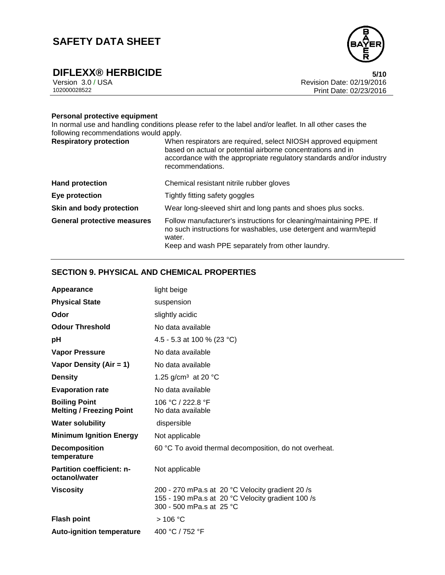

**DIFLEXX® HERBICIDE**<br>Version 3.0 / USA **6/10**<br>Revision Date: 02/19/2016 Version 3.0 / USA Revision Date: 02/19/2016 Print Date: 02/23/2016

## **Personal protective equipment**

In normal use and handling conditions please refer to the label and/or leaflet. In all other cases the following recommendations would apply.

| <b>Respiratory protection</b>      | When respirators are required, select NIOSH approved equipment<br>based on actual or potential airborne concentrations and in<br>accordance with the appropriate regulatory standards and/or industry<br>recommendations. |
|------------------------------------|---------------------------------------------------------------------------------------------------------------------------------------------------------------------------------------------------------------------------|
| <b>Hand protection</b>             | Chemical resistant nitrile rubber gloves                                                                                                                                                                                  |
| Eye protection                     | Tightly fitting safety goggles                                                                                                                                                                                            |
| Skin and body protection           | Wear long-sleeved shirt and long pants and shoes plus socks.                                                                                                                                                              |
| <b>General protective measures</b> | Follow manufacturer's instructions for cleaning/maintaining PPE. If<br>no such instructions for washables, use detergent and warm/tepid<br>water.<br>Keep and wash PPE separately from other laundry.                     |

## **SECTION 9. PHYSICAL AND CHEMICAL PROPERTIES**

| Appearance                                              | light beige                                                                                                                       |
|---------------------------------------------------------|-----------------------------------------------------------------------------------------------------------------------------------|
| <b>Physical State</b>                                   | suspension                                                                                                                        |
| Odor                                                    | slightly acidic                                                                                                                   |
| <b>Odour Threshold</b>                                  | No data available                                                                                                                 |
| рH                                                      | 4.5 - 5.3 at 100 % (23 °C)                                                                                                        |
| <b>Vapor Pressure</b>                                   | No data available                                                                                                                 |
| Vapor Density (Air = 1)                                 | No data available                                                                                                                 |
| <b>Density</b>                                          | 1.25 g/cm <sup>3</sup> at 20 $^{\circ}$ C                                                                                         |
| <b>Evaporation rate</b>                                 | No data available                                                                                                                 |
| <b>Boiling Point</b><br><b>Melting / Freezing Point</b> | 106 °C / 222.8 °F<br>No data available                                                                                            |
| <b>Water solubility</b>                                 | dispersible                                                                                                                       |
| <b>Minimum Ignition Energy</b>                          | Not applicable                                                                                                                    |
| <b>Decomposition</b><br>temperature                     | 60 °C To avoid thermal decomposition, do not overheat.                                                                            |
| Partition coefficient: n-<br>octanol/water              | Not applicable                                                                                                                    |
| <b>Viscosity</b>                                        | 200 - 270 mPa.s at 20 °C Velocity gradient 20 /s<br>155 - 190 mPa.s at 20 °C Velocity gradient 100 /s<br>300 - 500 mPa.s at 25 °C |
| <b>Flash point</b>                                      | $>106$ °C                                                                                                                         |
| <b>Auto-ignition temperature</b>                        | 400 °C / 752 °F                                                                                                                   |

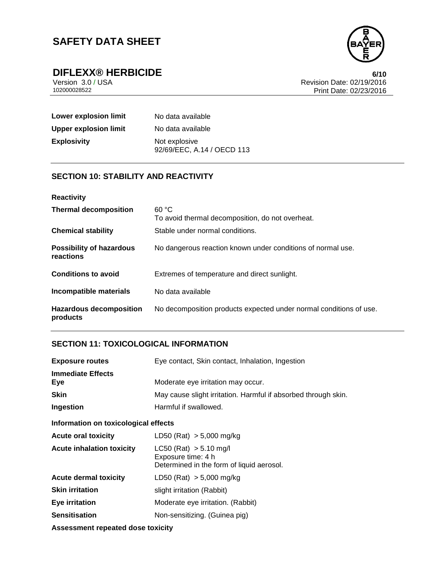

**DIFLEXX® HERBICIDE**<br>Version 3.0/USA **6/10**<br>Revision Date: 02/19/2016 Version 3.0 / USA Revision Date: 02/19/2016 Print Date: 02/23/2016

| Lower explosion limit        | No data available                           |
|------------------------------|---------------------------------------------|
| <b>Upper explosion limit</b> | No data available                           |
| <b>Explosivity</b>           | Not explosive<br>92/69/EEC, A.14 / OECD 113 |

## **SECTION 10: STABILITY AND REACTIVITY**

| <b>Reactivity</b>                            |                                                                    |
|----------------------------------------------|--------------------------------------------------------------------|
| <b>Thermal decomposition</b>                 | 60 °C<br>To avoid thermal decomposition, do not overheat.          |
| <b>Chemical stability</b>                    | Stable under normal conditions.                                    |
| <b>Possibility of hazardous</b><br>reactions | No dangerous reaction known under conditions of normal use.        |
| <b>Conditions to avoid</b>                   | Extremes of temperature and direct sunlight.                       |
| Incompatible materials                       | No data available                                                  |
| <b>Hazardous decomposition</b><br>products   | No decomposition products expected under normal conditions of use. |

## **SECTION 11: TOXICOLOGICAL INFORMATION**

| <b>Exposure routes</b>               | Eye contact, Skin contact, Inhalation, Ingestion                                              |  |
|--------------------------------------|-----------------------------------------------------------------------------------------------|--|
| <b>Immediate Effects</b><br>Eye      | Moderate eye irritation may occur.                                                            |  |
| <b>Skin</b>                          | May cause slight irritation. Harmful if absorbed through skin.                                |  |
| Ingestion                            | Harmful if swallowed.                                                                         |  |
| Information on toxicological effects |                                                                                               |  |
| <b>Acute oral toxicity</b>           | LD50 (Rat) $> 5,000$ mg/kg                                                                    |  |
| <b>Acute inhalation toxicity</b>     | $LC50$ (Rat) $> 5.10$ mg/l<br>Exposure time: 4 h<br>Determined in the form of liquid aerosol. |  |
| <b>Acute dermal toxicity</b>         | LD50 (Rat) $> 5,000$ mg/kg                                                                    |  |
| <b>Skin irritation</b>               | slight irritation (Rabbit)                                                                    |  |
| Eye irritation                       | Moderate eye irritation. (Rabbit)                                                             |  |
| <b>Sensitisation</b>                 | Non-sensitizing. (Guinea pig)                                                                 |  |
| Assessment repeated dose toxicity    |                                                                                               |  |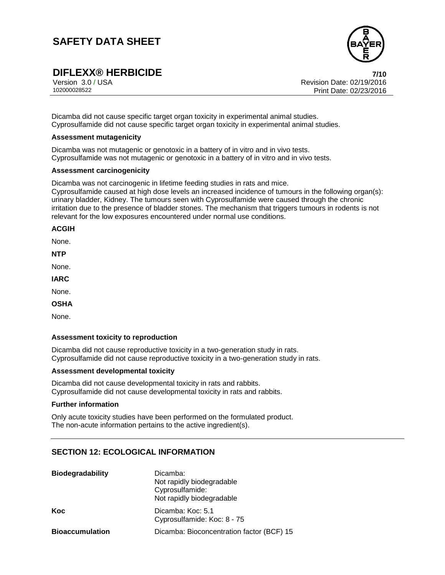

# **DIFLEXX® HERBICIDE**<br>
Version 3.0/USA *T***/10<br>
Revision Date: 02/19/2016**

Version 3.0 / USA Revision Date: 02/19/2016<br>102000028522 Print Date: 02/19/2016 Print Date: 02/23/2016

Dicamba did not cause specific target organ toxicity in experimental animal studies. Cyprosulfamide did not cause specific target organ toxicity in experimental animal studies.

#### **Assessment mutagenicity**

Dicamba was not mutagenic or genotoxic in a battery of in vitro and in vivo tests. Cyprosulfamide was not mutagenic or genotoxic in a battery of in vitro and in vivo tests.

#### **Assessment carcinogenicity**

Dicamba was not carcinogenic in lifetime feeding studies in rats and mice.

Cyprosulfamide caused at high dose levels an increased incidence of tumours in the following organ(s): urinary bladder, Kidney. The tumours seen with Cyprosulfamide were caused through the chronic irritation due to the presence of bladder stones. The mechanism that triggers tumours in rodents is not relevant for the low exposures encountered under normal use conditions.

#### **ACGIH**

None.

**NTP**

None.

**IARC**

None.

**OSHA**

None.

### **Assessment toxicity to reproduction**

Dicamba did not cause reproductive toxicity in a two-generation study in rats. Cyprosulfamide did not cause reproductive toxicity in a two-generation study in rats.

#### **Assessment developmental toxicity**

Dicamba did not cause developmental toxicity in rats and rabbits. Cyprosulfamide did not cause developmental toxicity in rats and rabbits.

#### **Further information**

Only acute toxicity studies have been performed on the formulated product. The non-acute information pertains to the active ingredient(s).

## **SECTION 12: ECOLOGICAL INFORMATION**

| <b>Biodegradability</b> | Dicamba:                                  |
|-------------------------|-------------------------------------------|
|                         | Not rapidly biodegradable                 |
|                         | Cyprosulfamide:                           |
|                         | Not rapidly biodegradable                 |
| Koc                     | Dicamba: Koc: 5.1                         |
|                         | Cyprosulfamide: Koc: 8 - 75               |
| <b>Bioaccumulation</b>  | Dicamba: Bioconcentration factor (BCF) 15 |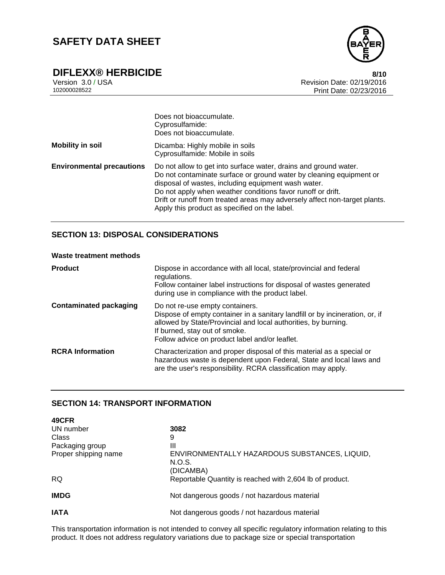

# **DIFLEXX® HERBICIDE**<br>Version 3.0 / USA **8/10**<br>Revision Date: 02/19/2016

Version 3.0 / USA Revision Date: 02/19/2016 Print Date: 02/23/2016

|                                  | Does not bioaccumulate.<br>Cyprosulfamide:<br>Does not bioaccumulate.                                                                                                                                                                                                                                                                                                                        |
|----------------------------------|----------------------------------------------------------------------------------------------------------------------------------------------------------------------------------------------------------------------------------------------------------------------------------------------------------------------------------------------------------------------------------------------|
| <b>Mobility in soil</b>          | Dicamba: Highly mobile in soils<br>Cyprosulfamide: Mobile in soils                                                                                                                                                                                                                                                                                                                           |
| <b>Environmental precautions</b> | Do not allow to get into surface water, drains and ground water.<br>Do not contaminate surface or ground water by cleaning equipment or<br>disposal of wastes, including equipment wash water.<br>Do not apply when weather conditions favor runoff or drift.<br>Drift or runoff from treated areas may adversely affect non-target plants.<br>Apply this product as specified on the label. |

## **SECTION 13: DISPOSAL CONSIDERATIONS**

### **Waste treatment methods**

| <b>Product</b>                | Dispose in accordance with all local, state/provincial and federal<br>regulations.<br>Follow container label instructions for disposal of wastes generated<br>during use in compliance with the product label.                                                       |
|-------------------------------|----------------------------------------------------------------------------------------------------------------------------------------------------------------------------------------------------------------------------------------------------------------------|
| <b>Contaminated packaging</b> | Do not re-use empty containers.<br>Dispose of empty container in a sanitary landfill or by incineration, or, if<br>allowed by State/Provincial and local authorities, by burning.<br>If burned, stay out of smoke.<br>Follow advice on product label and/or leaflet. |
| <b>RCRA</b> Information       | Characterization and proper disposal of this material as a special or<br>hazardous waste is dependent upon Federal, State and local laws and<br>are the user's responsibility. RCRA classification may apply.                                                        |

## **SECTION 14: TRANSPORT INFORMATION**

| 49CFR                |                                                                      |
|----------------------|----------------------------------------------------------------------|
| UN number            | 3082                                                                 |
| Class                | 9                                                                    |
| Packaging group      | Ш                                                                    |
| Proper shipping name | ENVIRONMENTALLY HAZARDOUS SUBSTANCES, LIQUID,<br>N.O.S.<br>(DICAMBA) |
| <b>RQ</b>            | Reportable Quantity is reached with 2,604 lb of product.             |
| <b>IMDG</b>          | Not dangerous goods / not hazardous material                         |
| IATA                 | Not dangerous goods / not hazardous material                         |

This transportation information is not intended to convey all specific regulatory information relating to this product. It does not address regulatory variations due to package size or special transportation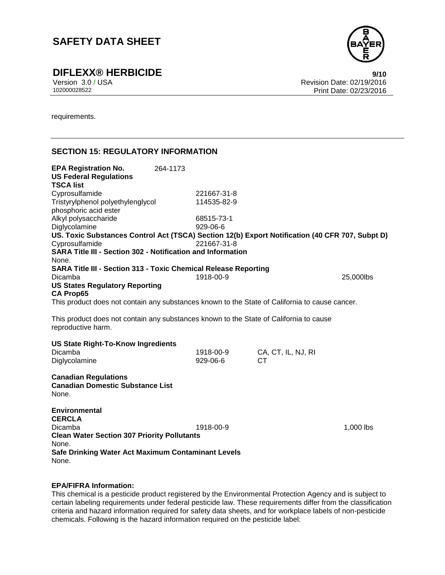

**DIFLEXX® HERBICIDE**<br>Version 3.0 / USA **Properties Access 2010**<br>Revision Date: 02/19/2016

Version 3.0 / USA Revision Date: 02/19/2016 Print Date: 02/23/2016

requirements.

## **SECTION 15: REGULATORY INFORMATION**

| <b>EPA Registration No.</b><br><b>US Federal Regulations</b><br><b>TSCA list</b>                             | 264-1173 |             |                    |           |
|--------------------------------------------------------------------------------------------------------------|----------|-------------|--------------------|-----------|
| Cyprosulfamide                                                                                               |          | 221667-31-8 |                    |           |
| Tristyrylphenol polyethylenglycol<br>phosphoric acid ester                                                   |          | 114535-82-9 |                    |           |
| Alkyl polysaccharide                                                                                         |          | 68515-73-1  |                    |           |
| Diglycolamine                                                                                                |          | 929-06-6    |                    |           |
| US. Toxic Substances Control Act (TSCA) Section 12(b) Export Notification (40 CFR 707, Subpt D)              |          |             |                    |           |
| Cyprosulfamide                                                                                               |          | 221667-31-8 |                    |           |
| <b>SARA Title III - Section 302 - Notification and Information</b>                                           |          |             |                    |           |
| None.                                                                                                        |          |             |                    |           |
| <b>SARA Title III - Section 313 - Toxic Chemical Release Reporting</b>                                       |          |             |                    |           |
| Dicamba                                                                                                      |          | 1918-00-9   |                    | 25,000lbs |
| <b>US States Regulatory Reporting</b>                                                                        |          |             |                    |           |
| <b>CA Prop65</b>                                                                                             |          |             |                    |           |
| This product does not contain any substances known to the State of California to cause cancer.               |          |             |                    |           |
|                                                                                                              |          |             |                    |           |
| This product does not contain any substances known to the State of California to cause<br>reproductive harm. |          |             |                    |           |
| <b>US State Right-To-Know Ingredients</b>                                                                    |          |             |                    |           |
| Dicamba                                                                                                      |          | 1918-00-9   | CA, CT, IL, NJ, RI |           |
| Diglycolamine                                                                                                |          | 929-06-6    | СT                 |           |
|                                                                                                              |          |             |                    |           |
| <b>Canadian Regulations</b><br><b>Canadian Domestic Substance List</b><br>None.                              |          |             |                    |           |
| <b>Environmental</b><br><b>CERCLA</b><br>Dicamba<br><b>Clean Water Section 307 Priority Pollutants</b>       |          | 1918-00-9   |                    | 1,000 lbs |
| None.                                                                                                        |          |             |                    |           |
| Safe Drinking Water Act Maximum Contaminant Levels<br>None.                                                  |          |             |                    |           |

### **EPA/FIFRA Information:**

This chemical is a pesticide product registered by the Environmental Protection Agency and is subject to certain labeling requirements under federal pesticide law. These requirements differ from the classification criteria and hazard information required for safety data sheets, and for workplace labels of non-pesticide chemicals. Following is the hazard information required on the pesticide label: